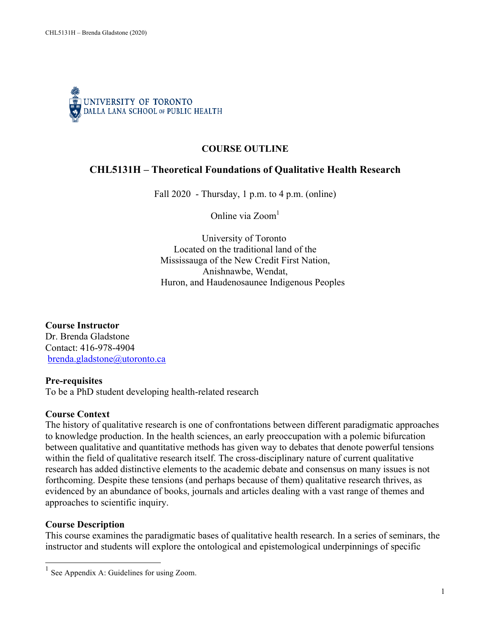

# **COURSE OUTLINE**

# **CHL5131H – Theoretical Foundations of Qualitative Health Research**

Fall  $2020$  - Thursday, 1 p.m. to 4 p.m. (online)

Online via Zoom 1

University of Toronto Located on the traditional land of the Mississauga of the New Credit First Nation, Anishnawbe, Wendat, Huron, and Haudenosaunee Indigenous Peoples

**Course Instructor** Dr. Brenda Gladstone Contact: 416-978-4904 brenda.gladstone@utoronto.ca

#### **Pre-requisites**

To be a PhD student developing health-related research

#### **Course Context**

The history of qualitative research is one of confrontations between different paradigmatic approaches to knowledge production. In the health sciences, an early preoccupation with a polemic bifurcation between qualitative and quantitative methods has given way to debates that denote powerful tensions within the field of qualitative research itself. The cross-disciplinary nature of current qualitative research has added distinctive elements to the academic debate and consensus on many issues is not forthcoming. Despite these tensions (and perhaps because of them) qualitative research thrives, as evidenced by an abundance of books, journals and articles dealing with a vast range of themes and approaches to scientific inquiry.

### **Course Description**

This course examines the paradigmatic bases of qualitative health research. In a series of seminars, the instructor and students will explore the ontological and epistemological underpinnings of specific

 $<sup>1</sup>$  See Appendix A: Guidelines for using Zoom.</sup>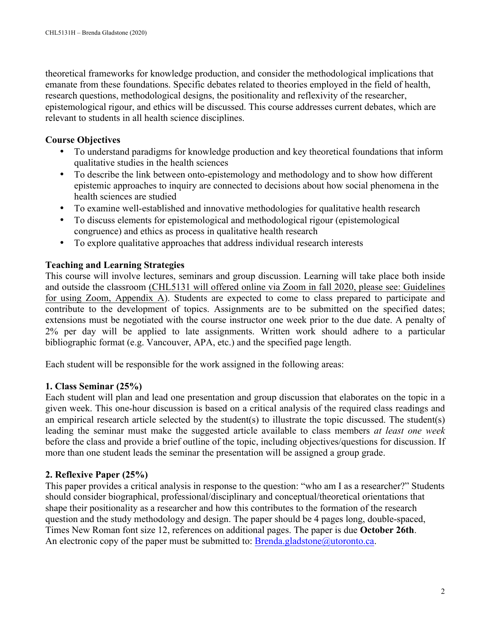theoretical frameworks for knowledge production, and consider the methodological implications that emanate from these foundations. Specific debates related to theories employed in the field of health, research questions, methodological designs, the positionality and reflexivity of the researcher, epistemological rigour, and ethics will be discussed. This course addresses current debates, which are relevant to students in all health science disciplines.

## **Course Objectives**

- To understand paradigms for knowledge production and key theoretical foundations that inform qualitative studies in the health sciences
- To describe the link between onto-epistemology and methodology and to show how different epistemic approaches to inquiry are connected to decisions about how social phenomena in the health sciences are studied
- To examine well-established and innovative methodologies for qualitative health research
- To discuss elements for epistemological and methodological rigour (epistemological congruence) and ethics as process in qualitative health research
- To explore qualitative approaches that address individual research interests

## **Teaching and Learning Strategies**

This course will involve lectures, seminars and group discussion. Learning will take place both inside and outside the classroom (CHL5131 will offered online via Zoom in fall 2020, please see: Guidelines for using Zoom, Appendix A). Students are expected to come to class prepared to participate and contribute to the development of topics. Assignments are to be submitted on the specified dates; extensions must be negotiated with the course instructor one week prior to the due date. A penalty of 2% per day will be applied to late assignments. Written work should adhere to a particular bibliographic format (e.g. Vancouver, APA, etc.) and the specified page length.

Each student will be responsible for the work assigned in the following areas:

### **1. Class Seminar (25%)**

Each student will plan and lead one presentation and group discussion that elaborates on the topic in a given week. This one-hour discussion is based on a critical analysis of the required class readings and an empirical research article selected by the student(s) to illustrate the topic discussed. The student(s) leading the seminar must make the suggested article available to class members *at least one week* before the class and provide a brief outline of the topic, including objectives/questions for discussion. If more than one student leads the seminar the presentation will be assigned a group grade.

# **2. Reflexive Paper (25%)**

This paper provides a critical analysis in response to the question: "who am I as a researcher?" Students should consider biographical, professional/disciplinary and conceptual/theoretical orientations that shape their positionality as a researcher and how this contributes to the formation of the research question and the study methodology and design. The paper should be 4 pages long, double-spaced, Times New Roman font size 12, references on additional pages. The paper is due **October 26th**. An electronic copy of the paper must be submitted to:  $Brenda.gladstone@utoronto.ca$ .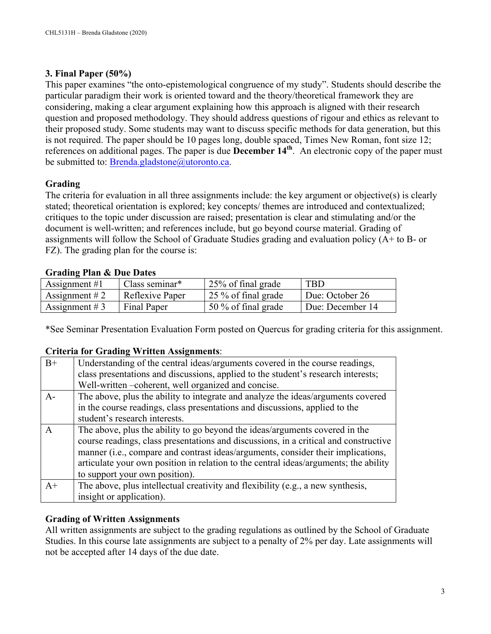# **3. Final Paper (50%)**

This paper examines "the onto-epistemological congruence of my study". Students should describe the particular paradigm their work is oriented toward and the theory/theoretical framework they are considering, making a clear argument explaining how this approach is aligned with their research question and proposed methodology. They should address questions of rigour and ethics as relevant to their proposed study. Some students may want to discuss specific methods for data generation, but this is not required. The paper should be 10 pages long, double spaced, Times New Roman, font size 12; references on additional pages. The paper is due **December 14th**. An electronic copy of the paper must be submitted to: Brenda.gladstone@utoronto.ca.

# **Grading**

The criteria for evaluation in all three assignments include: the key argument or objective(s) is clearly stated; theoretical orientation is explored; key concepts/ themes are introduced and contextualized; critiques to the topic under discussion are raised; presentation is clear and stimulating and/or the document is well-written; and references include, but go beyond course material. Grading of assignments will follow the School of Graduate Studies grading and evaluation policy (A+ to B- or FZ). The grading plan for the course is:

# **Grading Plan & Due Dates**

| Assignment $#1$ | Class seminar*  | 25% of final grade              | <b>TBD</b>       |
|-----------------|-----------------|---------------------------------|------------------|
| Assignment $#2$ | Reflexive Paper | $\frac{1}{25}$ % of final grade | Due: October 26  |
| Assignment # 3  | Final Paper     | 50 % of final grade             | Due: December 14 |

\*See Seminar Presentation Evaluation Form posted on Quercus for grading criteria for this assignment.

### **Criteria for Grading Written Assignments**:

| $B+$         | Understanding of the central ideas/arguments covered in the course readings,<br>class presentations and discussions, applied to the student's research interests;<br>Well-written -coherent, well organized and concise.                                                                                                                                                          |
|--------------|-----------------------------------------------------------------------------------------------------------------------------------------------------------------------------------------------------------------------------------------------------------------------------------------------------------------------------------------------------------------------------------|
| $A -$        | The above, plus the ability to integrate and analyze the ideas/arguments covered<br>in the course readings, class presentations and discussions, applied to the<br>student's research interests.                                                                                                                                                                                  |
| $\mathsf{A}$ | The above, plus the ability to go beyond the ideas/arguments covered in the<br>course readings, class presentations and discussions, in a critical and constructive<br>manner (i.e., compare and contrast ideas/arguments, consider their implications,<br>articulate your own position in relation to the central ideas/arguments; the ability<br>to support your own position). |
| $A+$         | The above, plus intellectual creativity and flexibility (e.g., a new synthesis,<br>insight or application).                                                                                                                                                                                                                                                                       |

### **Grading of Written Assignments**

All written assignments are subject to the grading regulations as outlined by the School of Graduate Studies. In this course late assignments are subject to a penalty of 2% per day. Late assignments will not be accepted after 14 days of the due date.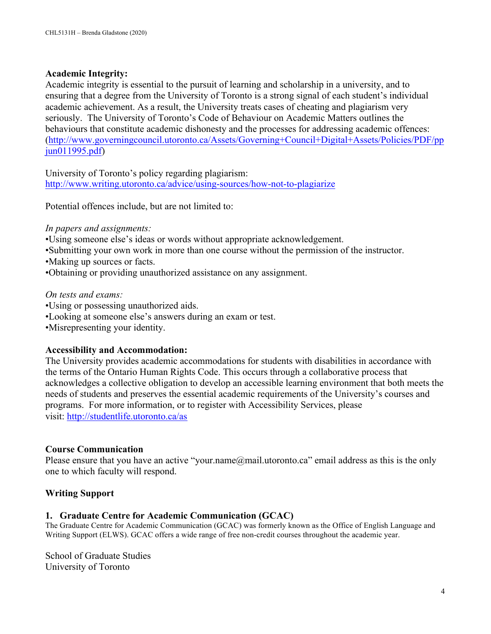### **Academic Integrity:**

Academic integrity is essential to the pursuit of learning and scholarship in a university, and to ensuring that a degree from the University of Toronto is a strong signal of each student's individual academic achievement. As a result, the University treats cases of cheating and plagiarism very seriously. The University of Toronto's Code of Behaviour on Academic Matters outlines the behaviours that constitute academic dishonesty and the processes for addressing academic offences: (http://www.governingcouncil.utoronto.ca/Assets/Governing+Council+Digital+Assets/Policies/PDF/pp jun011995.pdf)

University of Toronto's policy regarding plagiarism: http://www.writing.utoronto.ca/advice/using-sources/how-not-to-plagiarize

Potential offences include, but are not limited to:

*In papers and assignments:*

•Using someone else's ideas or words without appropriate acknowledgement.

•Submitting your own work in more than one course without the permission of the instructor.

•Making up sources or facts.

•Obtaining or providing unauthorized assistance on any assignment.

*On tests and exams:*

•Using or possessing unauthorized aids. •Looking at someone else's answers during an exam or test.

•Misrepresenting your identity.

### **Accessibility and Accommodation:**

The University provides academic accommodations for students with disabilities in accordance with the terms of the Ontario Human Rights Code. This occurs through a collaborative process that acknowledges a collective obligation to develop an accessible learning environment that both meets the needs of students and preserves the essential academic requirements of the University's courses and programs. For more information, or to register with Accessibility Services, please visit: http://studentlife.utoronto.ca/as

### **Course Communication**

Please ensure that you have an active "your.name@mail.utoronto.ca" email address as this is the only one to which faculty will respond.

### **Writing Support**

### **1. Graduate Centre for Academic Communication (GCAC)**

The Graduate Centre for Academic Communication (GCAC) was formerly known as the Office of English Language and Writing Support (ELWS). GCAC offers a wide range of free non-credit courses throughout the academic year.

School of Graduate Studies University of Toronto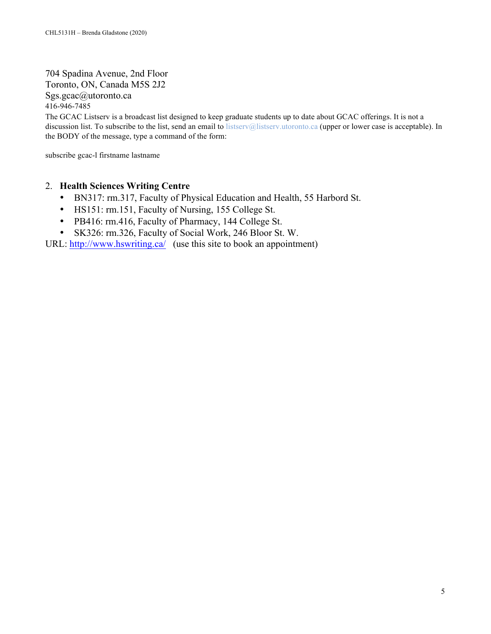704 Spadina Avenue, 2nd Floor Toronto, ON, Canada M5S 2J2 Sgs.gcac@utoronto.ca 416-946-7485

The GCAC Listserv is a broadcast list designed to keep graduate students up to date about GCAC offerings. It is not a discussion list. To subscribe to the list, send an email to listserv@listserv.utoronto.ca (upper or lower case is acceptable). In the BODY of the message, type a command of the form:

subscribe gcac-l firstname lastname

#### 2. **Health Sciences Writing Centre**

- BN317: rm.317, Faculty of Physical Education and Health, 55 Harbord St.
- HS151: rm.151, Faculty of Nursing, 155 College St.
- PB416: rm.416, Faculty of Pharmacy, 144 College St.
- SK326: rm.326, Faculty of Social Work, 246 Bloor St. W.

URL: http://www.hswriting.ca/ (use this site to book an appointment)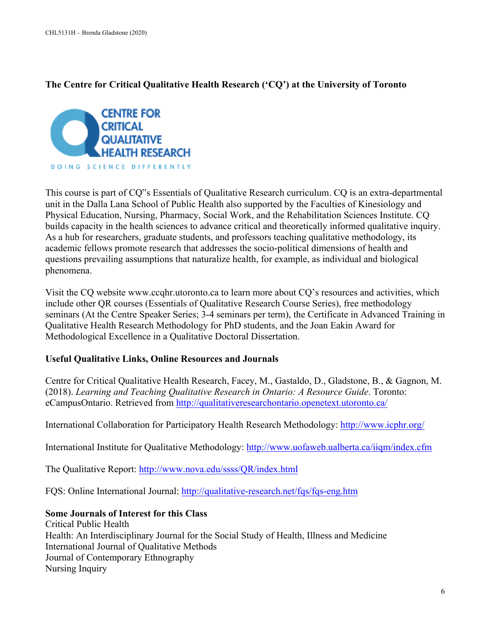## **The Centre for Critical Qualitative Health Research ('CQ') at the University of Toronto**



This course is part of CQ"s Essentials of Qualitative Research curriculum. CQ is an extra-departmental unit in the Dalla Lana School of Public Health also supported by the Faculties of Kinesiology and Physical Education, Nursing, Pharmacy, Social Work, and the Rehabilitation Sciences Institute. CQ builds capacity in the health sciences to advance critical and theoretically informed qualitative inquiry. As a hub for researchers, graduate students, and professors teaching qualitative methodology, its academic fellows promote research that addresses the socio-political dimensions of health and questions prevailing assumptions that naturalize health, for example, as individual and biological phenomena.

Visit the CQ website www.ccqhr.utoronto.ca to learn more about CQ's resources and activities, which include other QR courses (Essentials of Qualitative Research Course Series), free methodology seminars (At the Centre Speaker Series; 3-4 seminars per term), the Certificate in Advanced Training in Qualitative Health Research Methodology for PhD students, and the Joan Eakin Award for Methodological Excellence in a Qualitative Doctoral Dissertation.

### **Useful Qualitative Links, Online Resources and Journals**

Centre for Critical Qualitative Health Research, Facey, M., Gastaldo, D., Gladstone, B., & Gagnon, M. (2018). *Learning and Teaching Qualitative Research in Ontario: A Resource Guide*. Toronto: eCampusOntario. Retrieved from http://qualitativeresearchontario.openetext.utoronto.ca/

International Collaboration for Participatory Health Research Methodology: http://www.icphr.org/

International Institute for Qualitative Methodology: http://www.uofaweb.ualberta.ca/iiqm/index.cfm

The Qualitative Report: http://www.nova.edu/ssss/QR/index.html

FQS: Online International Journal: http://qualitative-research.net/fqs/fqs-eng.htm

### **Some Journals of Interest for this Class**

Critical Public Health Health: An Interdisciplinary Journal for the Social Study of Health, Illness and Medicine International Journal of Qualitative Methods Journal of Contemporary Ethnography Nursing Inquiry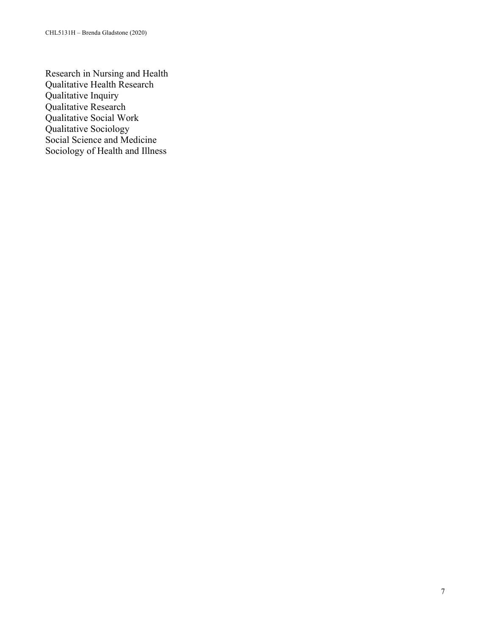Research in Nursing and Health Qualitative Health Research Qualitative Inquiry Qualitative Research Qualitative Social Work Qualitative Sociology Social Science and Medicine Sociology of Health and Illness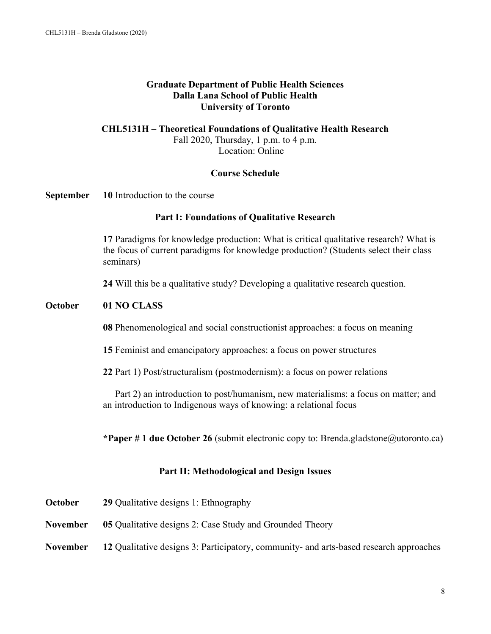### **Graduate Department of Public Health Sciences Dalla Lana School of Public Health University of Toronto**

#### **CHL5131H – Theoretical Foundations of Qualitative Health Research** Fall 2020, Thursday, 1 p.m. to 4 p.m. Location: Online

#### **Course Schedule**

#### **September 10** Introduction to the course

### **Part I: Foundations of Qualitative Research**

**17** Paradigms for knowledge production: What is critical qualitative research? What is the focus of current paradigms for knowledge production? (Students select their class seminars)

**24** Will this be a qualitative study? Developing a qualitative research question.

#### **October 01 NO CLASS**

**08** Phenomenological and social constructionist approaches: a focus on meaning

**15** Feminist and emancipatory approaches: a focus on power structures

**22** Part 1) Post/structuralism (postmodernism): a focus on power relations

Part 2) an introduction to post/humanism, new materialisms: a focus on matter; and an introduction to Indigenous ways of knowing: a relational focus

**\*Paper # 1 due October 26** (submit electronic copy to: Brenda.gladstone@utoronto.ca)

#### **Part II: Methodological and Design Issues**

| October  | 29 Qualitative designs 1: Ethnography                                                  |
|----------|----------------------------------------------------------------------------------------|
| November | <b>05</b> Qualitative designs 2: Case Study and Grounded Theory                        |
| November | 12 Qualitative designs 3: Participatory, community- and arts-based research approaches |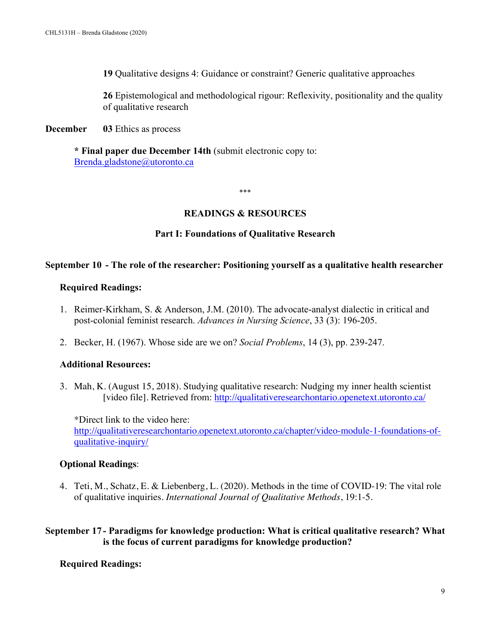**19** Qualitative designs 4: Guidance or constraint? Generic qualitative approaches

**26** Epistemological and methodological rigour: Reflexivity, positionality and the quality of qualitative research

**December 03** Ethics as process

**\* Final paper due December 14th** (submit electronic copy to: Brenda.gladstone@utoronto.ca

\*\*\*

## **READINGS & RESOURCES**

## **Part I: Foundations of Qualitative Research**

### **September 10 - The role of the researcher: Positioning yourself as a qualitative health researcher**

### **Required Readings:**

- 1. Reimer-Kirkham, S. & Anderson, J.M. (2010). The advocate-analyst dialectic in critical and post-colonial feminist research. *Advances in Nursing Science*, 33 (3): 196-205.
- 2. Becker, H. (1967). Whose side are we on? *Social Problems*, 14 (3), pp. 239-247.

### **Additional Resources:**

3. Mah, K. (August 15, 2018). Studying qualitative research: Nudging my inner health scientist [video file]. Retrieved from: http://qualitativeresearchontario.openetext.utoronto.ca/

\*Direct link to the video here: http://qualitativeresearchontario.openetext.utoronto.ca/chapter/video-module-1-foundations-ofqualitative-inquiry/

### **Optional Readings**:

4. Teti, M., Schatz, E. & Liebenberg, L. (2020). Methods in the time of COVID-19: The vital role of qualitative inquiries. *International Journal of Qualitative Methods*, 19:1-5.

**September 17 - Paradigms for knowledge production: What is critical qualitative research? What is the focus of current paradigms for knowledge production?**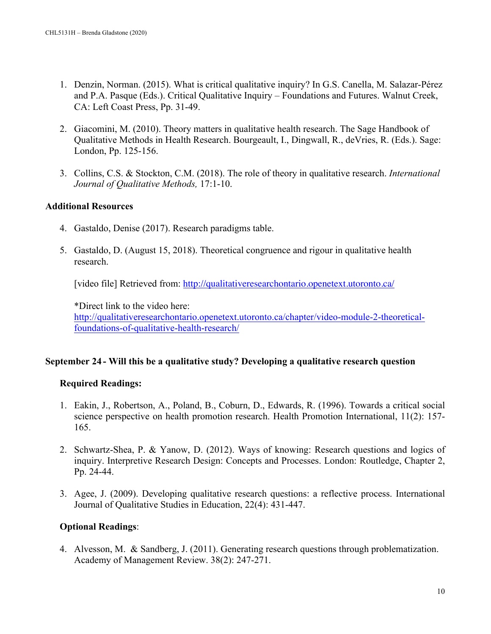- 1. Denzin, Norman. (2015). What is critical qualitative inquiry? In G.S. Canella, M. Salazar-Pérez and P.A. Pasque (Eds.). Critical Qualitative Inquiry – Foundations and Futures. Walnut Creek, CA: Left Coast Press, Pp. 31-49.
- 2. Giacomini, M. (2010). Theory matters in qualitative health research. The Sage Handbook of Qualitative Methods in Health Research. Bourgeault, I., Dingwall, R., deVries, R. (Eds.). Sage: London, Pp. 125-156.
- 3. Collins, C.S. & Stockton, C.M. (2018). The role of theory in qualitative research. *International Journal of Qualitative Methods,* 17:1-10.

## **Additional Resources**

- 4. Gastaldo, Denise (2017). Research paradigms table.
- 5. Gastaldo, D. (August 15, 2018). Theoretical congruence and rigour in qualitative health research.

[video file] Retrieved from: http://qualitativeresearchontario.openetext.utoronto.ca/

\*Direct link to the video here: http://qualitativeresearchontario.openetext.utoronto.ca/chapter/video-module-2-theoreticalfoundations-of-qualitative-health-research/

### **September 24 - Will this be a qualitative study? Developing a qualitative research question**

# **Required Readings:**

- 1. Eakin, J., Robertson, A., Poland, B., Coburn, D., Edwards, R. (1996). Towards a critical social science perspective on health promotion research. Health Promotion International, 11(2): 157- 165.
- 2. Schwartz-Shea, P. & Yanow, D. (2012). Ways of knowing: Research questions and logics of inquiry. Interpretive Research Design: Concepts and Processes. London: Routledge, Chapter 2, Pp. 24-44.
- 3. Agee, J. (2009). Developing qualitative research questions: a reflective process. International Journal of Qualitative Studies in Education, 22(4): 431-447.

# **Optional Readings**:

4. Alvesson, M. & Sandberg, J. (2011). Generating research questions through problematization. Academy of Management Review. 38(2): 247-271.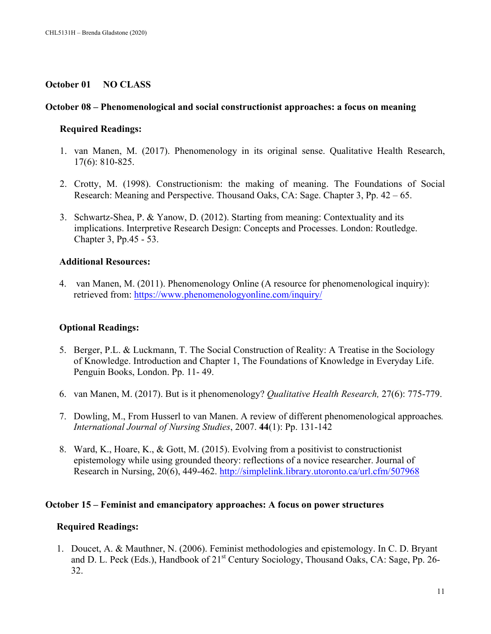### **October 01 NO CLASS**

### **October 08 – Phenomenological and social constructionist approaches: a focus on meaning**

## **Required Readings:**

- 1. van Manen, M. (2017). Phenomenology in its original sense. Qualitative Health Research, 17(6): 810-825.
- 2. Crotty, M. (1998). Constructionism: the making of meaning. The Foundations of Social Research: Meaning and Perspective. Thousand Oaks, CA: Sage. Chapter 3, Pp. 42 – 65.
- 3. Schwartz-Shea, P. & Yanow, D. (2012). Starting from meaning: Contextuality and its implications. Interpretive Research Design: Concepts and Processes. London: Routledge. Chapter 3, Pp.45 - 53.

## **Additional Resources:**

4. van Manen, M. (2011). Phenomenology Online (A resource for phenomenological inquiry): retrieved from: https://www.phenomenologyonline.com/inquiry/

# **Optional Readings:**

- 5. Berger, P.L. & Luckmann, T. The Social Construction of Reality: A Treatise in the Sociology of Knowledge. Introduction and Chapter 1, The Foundations of Knowledge in Everyday Life. Penguin Books, London. Pp. 11- 49.
- 6. van Manen, M. (2017). But is it phenomenology? *Qualitative Health Research,* 27(6): 775-779.
- 7. Dowling, M., From Husserl to van Manen. A review of different phenomenological approaches*. International Journal of Nursing Studies*, 2007. **44**(1): Pp. 131-142
- 8. Ward, K., Hoare, K., & Gott, M. (2015). Evolving from a positivist to constructionist epistemology while using grounded theory: reflections of a novice researcher. Journal of Research in Nursing, 20(6), 449-462. http://simplelink.library.utoronto.ca/url.cfm/507968

### **October 15 – Feminist and emancipatory approaches: A focus on power structures**

### **Required Readings:**

1. Doucet, A. & Mauthner, N. (2006). Feminist methodologies and epistemology. In C. D. Bryant and D. L. Peck (Eds.), Handbook of 21<sup>st</sup> Century Sociology, Thousand Oaks, CA: Sage, Pp. 26-32.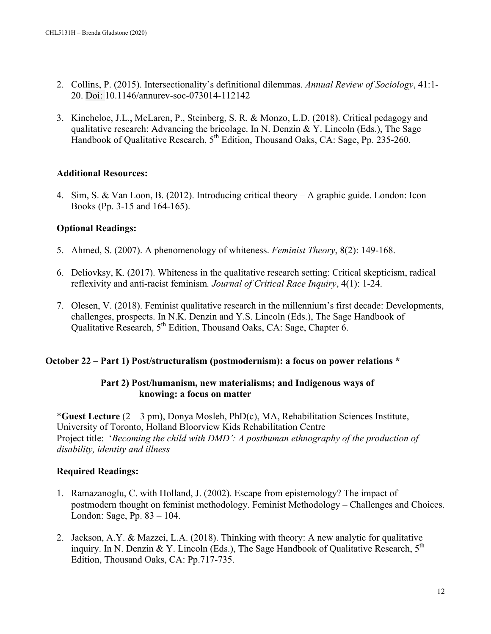- 2. Collins, P. (2015). Intersectionality's definitional dilemmas. *Annual Review of Sociology*, 41:1- 20. Doi: 10.1146/annurev-soc-073014-112142
- 3. Kincheloe, J.L., McLaren, P., Steinberg, S. R. & Monzo, L.D. (2018). Critical pedagogy and qualitative research: Advancing the bricolage. In N. Denzin & Y. Lincoln (Eds.), The Sage Handbook of Qualitative Research, 5<sup>th</sup> Edition, Thousand Oaks, CA: Sage, Pp. 235-260.

## **Additional Resources:**

4. Sim, S. & Van Loon, B. (2012). Introducing critical theory – A graphic guide. London: Icon Books (Pp. 3-15 and 164-165).

# **Optional Readings:**

- 5. Ahmed, S. (2007). A phenomenology of whiteness. *Feminist Theory*, 8(2): 149-168.
- 6. Deliovksy, K. (2017). Whiteness in the qualitative research setting: Critical skepticism, radical reflexivity and anti-racist feminism*. Journal of Critical Race Inquiry*, 4(1): 1-24.
- 7. Olesen, V. (2018). Feminist qualitative research in the millennium's first decade: Developments, challenges, prospects. In N.K. Denzin and Y.S. Lincoln (Eds.), The Sage Handbook of Qualitative Research, 5<sup>th</sup> Edition, Thousand Oaks, CA: Sage, Chapter 6.

### **October 22 – Part 1) Post/structuralism (postmodernism): a focus on power relations \***

## **Part 2) Post/humanism, new materialisms; and Indigenous ways of knowing: a focus on matter**

\***Guest Lecture** (2 – 3 pm), Donya Mosleh, PhD(c), MA, Rehabilitation Sciences Institute, University of Toronto, Holland Bloorview Kids Rehabilitation Centre Project title: '*Becoming the child with DMD': A posthuman ethnography of the production of disability, identity and illness*

- 1. Ramazanoglu, C. with Holland, J. (2002). Escape from epistemology? The impact of postmodern thought on feminist methodology. Feminist Methodology – Challenges and Choices. London: Sage, Pp. 83 – 104.
- 2. Jackson, A.Y. & Mazzei, L.A. (2018). Thinking with theory: A new analytic for qualitative inquiry. In N. Denzin & Y. Lincoln (Eds.), The Sage Handbook of Qualitative Research,  $5<sup>th</sup>$ Edition, Thousand Oaks, CA: Pp.717-735.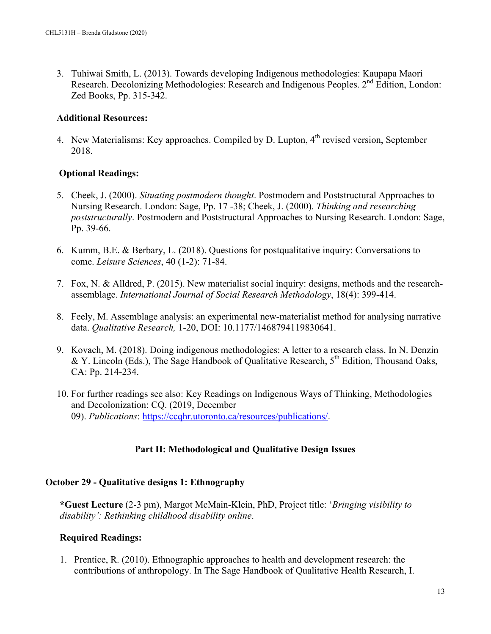3. Tuhiwai Smith, L. (2013). Towards developing Indigenous methodologies: Kaupapa Maori Research. Decolonizing Methodologies: Research and Indigenous Peoples. 2<sup>nd</sup> Edition, London: Zed Books, Pp. 315-342.

## **Additional Resources:**

4. New Materialisms: Key approaches. Compiled by D. Lupton, 4<sup>th</sup> revised version, September 2018.

# **Optional Readings:**

- 5. Cheek, J. (2000). *Situating postmodern thought*. Postmodern and Poststructural Approaches to Nursing Research. London: Sage, Pp. 17 -38; Cheek, J. (2000). *Thinking and researching poststructurally*. Postmodern and Poststructural Approaches to Nursing Research. London: Sage, Pp. 39-66.
- 6. Kumm, B.E. & Berbary, L. (2018). Questions for postqualitative inquiry: Conversations to come. *Leisure Sciences*, 40 (1-2): 71-84.
- 7. Fox, N. & Alldred, P. (2015). New materialist social inquiry: designs, methods and the researchassemblage. *International Journal of Social Research Methodology*, 18(4): 399-414.
- 8. Feely, M. Assemblage analysis: an experimental new-materialist method for analysing narrative data. *Qualitative Research,* 1-20, DOI: 10.1177/1468794119830641.
- 9. Kovach, M. (2018). Doing indigenous methodologies: A letter to a research class. In N. Denzin & Y. Lincoln (Eds.), The Sage Handbook of Qualitative Research,  $5<sup>th</sup>$  Edition, Thousand Oaks, CA: Pp. 214-234.
- 10. For further readings see also: Key Readings on Indigenous Ways of Thinking, Methodologies and Decolonization: CQ. (2019, December 09). *Publications*: https://ccqhr.utoronto.ca/resources/publications/.

# **Part II: Methodological and Qualitative Design Issues**

# **October 29 - Qualitative designs 1: Ethnography**

**\*Guest Lecture** (2-3 pm), Margot McMain-Klein, PhD, Project title: '*Bringing visibility to disability': Rethinking childhood disability online*.

# **Required Readings:**

1. Prentice, R. (2010). Ethnographic approaches to health and development research: the contributions of anthropology. In The Sage Handbook of Qualitative Health Research, I.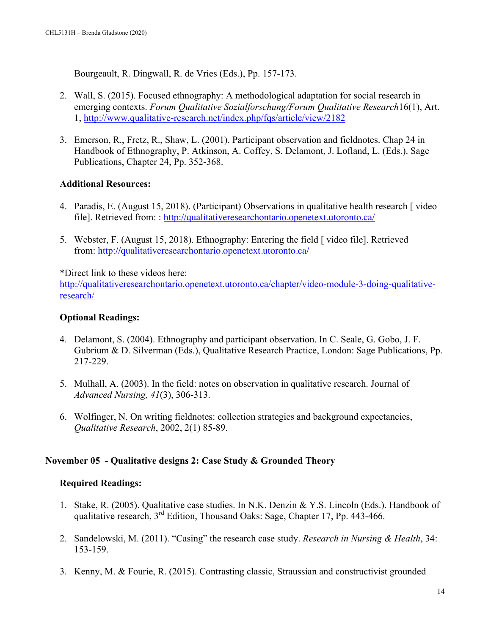Bourgeault, R. Dingwall, R. de Vries (Eds.), Pp. 157-173.

- 2. Wall, S. (2015). Focused ethnography: A methodological adaptation for social research in emerging contexts. *Forum Qualitative Sozialforschung/Forum Qualitative Research*16(1), Art. 1, http://www.qualitative-research.net/index.php/fqs/article/view/2182
- 3. Emerson, R., Fretz, R., Shaw, L. (2001). Participant observation and fieldnotes. Chap 24 in Handbook of Ethnography, P. Atkinson, A. Coffey, S. Delamont, J. Lofland, L. (Eds.). Sage Publications, Chapter 24, Pp. 352-368.

# **Additional Resources:**

- 4. Paradis, E. (August 15, 2018). (Participant) Observations in qualitative health research [ video file]. Retrieved from: : http://qualitativeresearchontario.openetext.utoronto.ca/
- 5. Webster, F. (August 15, 2018). Ethnography: Entering the field [ video file]. Retrieved from: http://qualitativeresearchontario.openetext.utoronto.ca/

\*Direct link to these videos here:

http://qualitativeresearchontario.openetext.utoronto.ca/chapter/video-module-3-doing-qualitativeresearch/

## **Optional Readings:**

- 4. Delamont, S. (2004). Ethnography and participant observation. In C. Seale, G. Gobo, J. F. Gubrium & D. Silverman (Eds.), Qualitative Research Practice, London: Sage Publications, Pp. 217-229.
- 5. Mulhall, A. (2003). In the field: notes on observation in qualitative research. Journal of *Advanced Nursing, 41*(3), 306-313.
- 6. Wolfinger, N. On writing fieldnotes: collection strategies and background expectancies, *Qualitative Research*, 2002, 2(1) 85-89.

# **November 05 - Qualitative designs 2: Case Study & Grounded Theory**

- 1. Stake, R. (2005). Qualitative case studies. In N.K. Denzin & Y.S. Lincoln (Eds.). Handbook of qualitative research, 3rd Edition, Thousand Oaks: Sage, Chapter 17, Pp. 443-466.
- 2. Sandelowski, M. (2011). "Casing" the research case study. *Research in Nursing & Health*, 34: 153-159.
- 3. Kenny, M. & Fourie, R. (2015). Contrasting classic, Straussian and constructivist grounded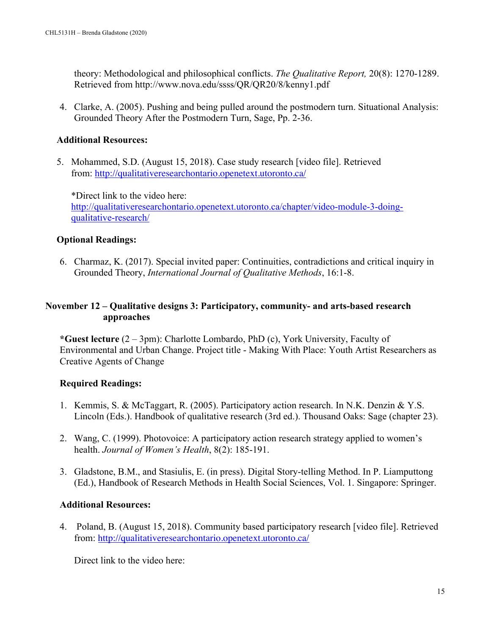theory: Methodological and philosophical conflicts. *The Qualitative Report,* 20(8): 1270-1289. Retrieved from http://www.nova.edu/ssss/QR/QR20/8/kenny1.pdf

4. Clarke, A. (2005). Pushing and being pulled around the postmodern turn. Situational Analysis: Grounded Theory After the Postmodern Turn, Sage, Pp. 2-36.

### **Additional Resources:**

5. Mohammed, S.D. (August 15, 2018). Case study research [video file]. Retrieved from: http://qualitativeresearchontario.openetext.utoronto.ca/

\*Direct link to the video here: http://qualitativeresearchontario.openetext.utoronto.ca/chapter/video-module-3-doingqualitative-research/

# **Optional Readings:**

6. Charmaz, K. (2017). Special invited paper: Continuities, contradictions and critical inquiry in Grounded Theory, *International Journal of Qualitative Methods*, 16:1-8.

## **November 12 – Qualitative designs 3: Participatory, community- and arts-based research approaches**

**\*Guest lecture** (2 – 3pm): Charlotte Lombardo, PhD (c), York University, Faculty of Environmental and Urban Change. Project title - Making With Place: Youth Artist Researchers as Creative Agents of Change

# **Required Readings:**

- 1. Kemmis, S. & McTaggart, R. (2005). Participatory action research. In N.K. Denzin & Y.S. Lincoln (Eds.). Handbook of qualitative research (3rd ed.). Thousand Oaks: Sage (chapter 23).
- 2. Wang, C. (1999). Photovoice: A participatory action research strategy applied to women's health. *Journal of Women's Health*, 8(2): 185-191.
- 3. Gladstone, B.M., and Stasiulis, E. (in press). Digital Story-telling Method. In P. Liamputtong (Ed.), Handbook of Research Methods in Health Social Sciences, Vol. 1. Singapore: Springer.

### **Additional Resources:**

4. Poland, B. (August 15, 2018). Community based participatory research [video file]. Retrieved from: http://qualitativeresearchontario.openetext.utoronto.ca/

Direct link to the video here: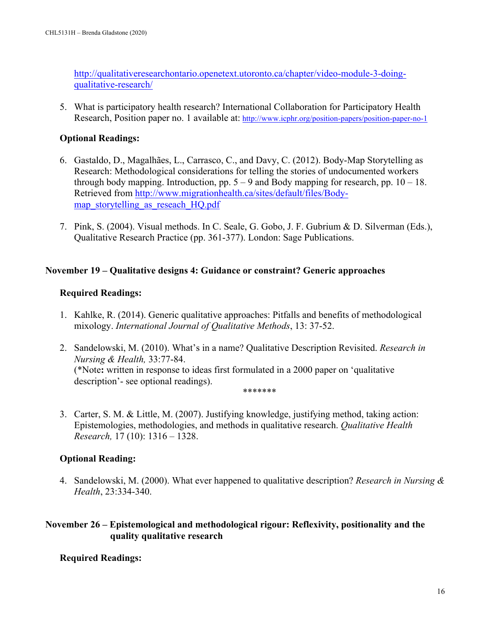http://qualitativeresearchontario.openetext.utoronto.ca/chapter/video-module-3-doingqualitative-research/

5. What is participatory health research? International Collaboration for Participatory Health Research, Position paper no. 1 available at: http://www.icphr.org/position-papers/position-paper-no-1

## **Optional Readings:**

- 6. Gastaldo, D., Magalhães, L., Carrasco, C., and Davy, C. (2012). Body-Map Storytelling as Research: Methodological considerations for telling the stories of undocumented workers through body mapping. Introduction, pp.  $5 - 9$  and Body mapping for research, pp.  $10 - 18$ . Retrieved from http://www.migrationhealth.ca/sites/default/files/Bodymap\_storytelling\_as\_reseach\_HQ.pdf
- 7. Pink, S. (2004). Visual methods. In C. Seale, G. Gobo, J. F. Gubrium & D. Silverman (Eds.), Qualitative Research Practice (pp. 361-377). London: Sage Publications.

## **November 19 – Qualitative designs 4: Guidance or constraint? Generic approaches**

## **Required Readings:**

- 1. Kahlke, R. (2014). Generic qualitative approaches: Pitfalls and benefits of methodological mixology. *International Journal of Qualitative Methods*, 13: 37-52.
- 2. Sandelowski, M. (2010). What's in a name? Qualitative Description Revisited. *Research in Nursing & Health,* 33:77-84. (\*Note**:** written in response to ideas first formulated in a 2000 paper on 'qualitative description'- see optional readings).

\*\*\*\*\*\*\*

3. Carter, S. M. & Little, M. (2007). Justifying knowledge, justifying method, taking action: Epistemologies, methodologies, and methods in qualitative research. *Qualitative Health Research,* 17 (10): 1316 – 1328.

### **Optional Reading:**

4. Sandelowski, M. (2000). What ever happened to qualitative description? *Research in Nursing & Health*, 23:334-340.

# **November 26 – Epistemological and methodological rigour: Reflexivity, positionality and the quality qualitative research**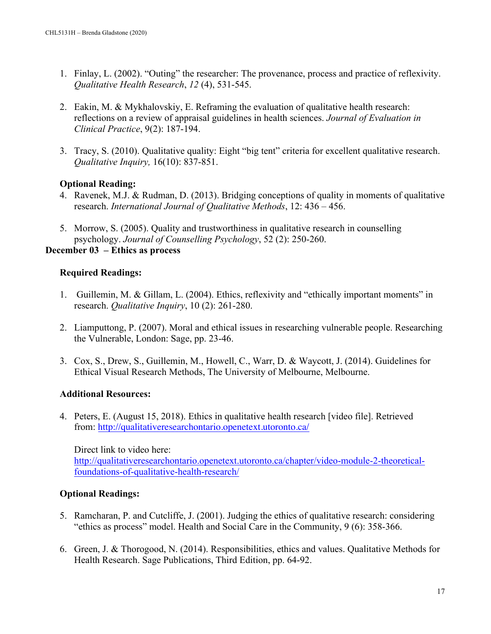- 1. Finlay, L. (2002). "Outing" the researcher: The provenance, process and practice of reflexivity. *Qualitative Health Research*, *12* (4), 531-545.
- 2. Eakin, M. & Mykhalovskiy, E. Reframing the evaluation of qualitative health research: reflections on a review of appraisal guidelines in health sciences. *Journal of Evaluation in Clinical Practice*, 9(2): 187-194.
- 3. Tracy, S. (2010). Qualitative quality: Eight "big tent" criteria for excellent qualitative research. *Qualitative Inquiry,* 16(10): 837-851.

# **Optional Reading:**

- 4. Ravenek, M.J. & Rudman, D. (2013). Bridging conceptions of quality in moments of qualitative research. *International Journal of Qualitative Methods*, 12: 436 – 456.
- 5. Morrow, S. (2005). Quality and trustworthiness in qualitative research in counselling psychology. *Journal of Counselling Psychology*, 52 (2): 250-260.

## **December 03 – Ethics as process**

## **Required Readings:**

- 1. Guillemin, M. & Gillam, L. (2004). Ethics, reflexivity and "ethically important moments" in research. *Qualitative Inquiry*, 10 (2): 261-280.
- 2. Liamputtong, P. (2007). Moral and ethical issues in researching vulnerable people. Researching the Vulnerable, London: Sage, pp. 23-46.
- 3. Cox, S., Drew, S., Guillemin, M., Howell, C., Warr, D. & Waycott, J. (2014). Guidelines for Ethical Visual Research Methods, The University of Melbourne, Melbourne.

# **Additional Resources:**

4. Peters, E. (August 15, 2018). Ethics in qualitative health research [video file]. Retrieved from: http://qualitativeresearchontario.openetext.utoronto.ca/

Direct link to video here: http://qualitativeresearchontario.openetext.utoronto.ca/chapter/video-module-2-theoreticalfoundations-of-qualitative-health-research/

# **Optional Readings:**

- 5. Ramcharan, P. and Cutcliffe, J. (2001). Judging the ethics of qualitative research: considering "ethics as process" model. Health and Social Care in the Community, 9 (6): 358-366.
- 6. Green, J. & Thorogood, N. (2014). Responsibilities, ethics and values. Qualitative Methods for Health Research. Sage Publications, Third Edition, pp. 64-92.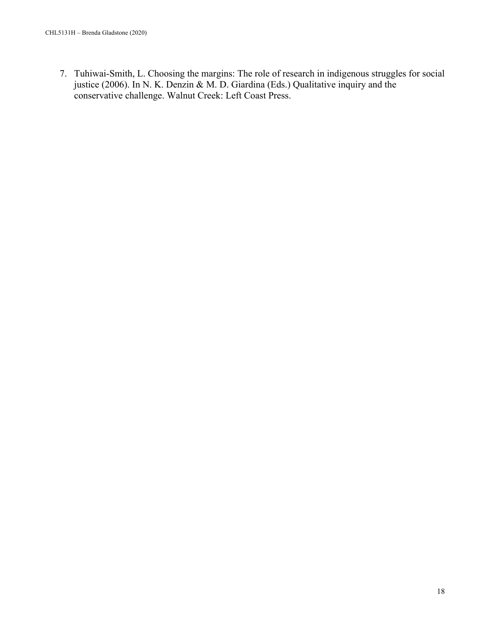7. Tuhiwai-Smith, L. Choosing the margins: The role of research in indigenous struggles for social justice (2006). In N. K. Denzin & M. D. Giardina (Eds.) Qualitative inquiry and the conservative challenge. Walnut Creek: Left Coast Press.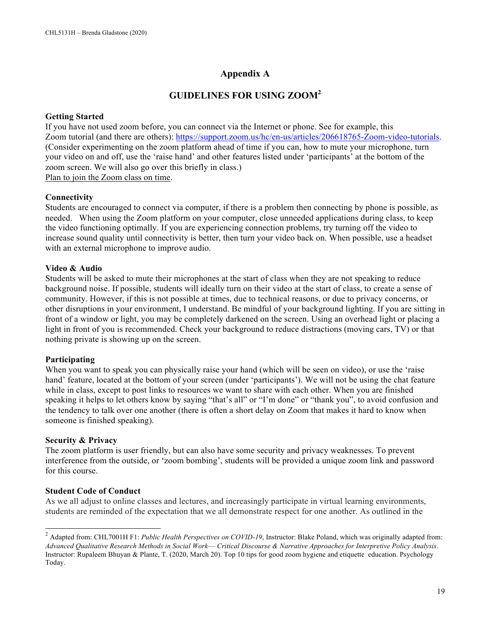# **Appendix A**

# **GUIDELINES FOR USING ZOOM2**

#### **Getting Started**

If you have not used zoom before, you can connect via the Internet or phone. See for example, this Zoom tutorial (and there are others): https://support.zoom.us/hc/en-us/articles/206618765-Zoom-video-tutorials. (Consider experimenting on the zoom platform ahead of time if you can, how to mute your microphone, turn your video on and off, use the 'raise hand' and other features listed under 'participants' at the bottom of the zoom screen. We will also go over this briefly in class.) Plan to join the Zoom class on time.

**Connectivity**

Students are encouraged to connect via computer, if there is a problem then connecting by phone is possible, as needed. When using the Zoom platform on your computer, close unneeded applications during class, to keep the video functioning optimally. If you are experiencing connection problems, try turning off the video to increase sound quality until connectivity is better, then turn your video back on. When possible, use a headset with an external microphone to improve audio.

#### **Video & Audio**

Students will be asked to mute their microphones at the start of class when they are not speaking to reduce background noise. If possible, students will ideally turn on their video at the start of class, to create a sense of community. However, if this is not possible at times, due to technical reasons, or due to privacy concerns, or other disruptions in your environment, I understand. Be mindful of your background lighting. If you are sitting in front of a window or light, you may be completely darkened on the screen. Using an overhead light or placing a light in front of you is recommended. Check your background to reduce distractions (moving cars, TV) or that nothing private is showing up on the screen.

#### **Participating**

When you want to speak you can physically raise your hand (which will be seen on video), or use the 'raise hand' feature, located at the bottom of your screen (under 'participants'). We will not be using the chat feature while in class, except to post links to resources we want to share with each other. When you are finished speaking it helps to let others know by saying "that's all" or "I'm done" or "thank you", to avoid confusion and the tendency to talk over one another (there is often a short delay on Zoom that makes it hard to know when someone is finished speaking).

#### **Security & Privacy**

The zoom platform is user friendly, but can also have some security and privacy weaknesses. To prevent interference from the outside, or 'zoom bombing', students will be provided a unique zoom link and password for this course.

### **Student Code of Conduct**

As we all adjust to online classes and lectures, and increasingly participate in virtual learning environments, students are reminded of the expectation that we all demonstrate respect for one another. As outlined in the

<sup>&</sup>lt;sup>2</sup> Adapted from: CHL7001H F1: *Public Health Perspectives on COVID-19*, Instructor: Blake Poland, which was originally adapted from: *Advanced Qualitative Research Methods in Social Work*— *Critical Discourse & Narrative Approaches for Interpretive Policy Analysis*. Instructor: Rupaleem Bhuyan & Plante, T. (2020, March 20). Top 10 tips for good zoom hygiene and etiquette education. Psychology Today.